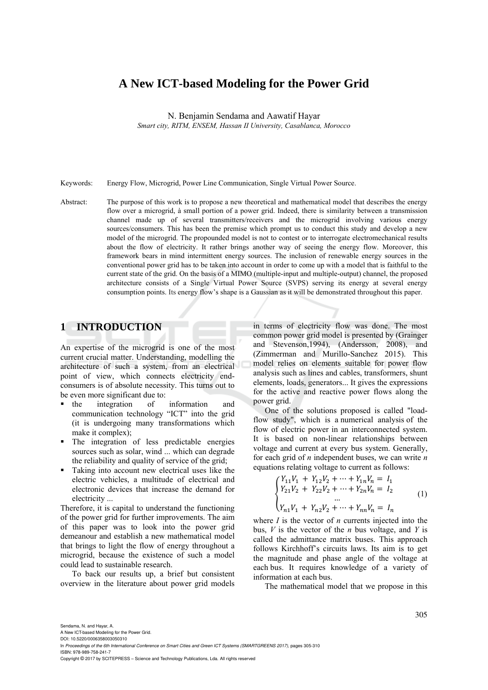# **A New ICT-based Modeling for the Power Grid**

N. Benjamin Sendama and Aawatif Hayar

*Smart city, RITM, ENSEM, Hassan II University, Casablanca, Morocco* 

Keywords: Energy Flow, Microgrid, Power Line Communication, Single Virtual Power Source.

Abstract: The purpose of this work is to propose a new theoretical and mathematical model that describes the energy flow over a microgrid, à small portion of a power grid. Indeed, there is similarity between a transmission channel made up of several transmitters/receivers and the microgrid involving various energy sources/consumers. This has been the premise which prompt us to conduct this study and develop a new model of the microgrid. The propounded model is not to contest or to interrogate electromechanical results about the flow of electricity. It rather brings another way of seeing the energy flow. Moreover, this framework bears in mind intermittent energy sources. The inclusion of renewable energy sources in the conventional power grid has to be taken into account in order to come up with a model that is faithful to the current state of the grid. On the basis of a MIMO (multiple-input and multiple-output) channel, the proposed architecture consists of a Single Virtual Power Source (SVPS) serving its energy at several energy consumption points. Its energy flow's shape is a Gaussian as it will be demonstrated throughout this paper.

## **1 INTRODUCTION**

An expertise of the microgrid is one of the most current crucial matter. Understanding, modelling the architecture of such a system, from an electrical point of view, which connects electricity endconsumers is of absolute necessity. This turns out to be even more significant due to:

- the integration of information and communication technology "ICT" into the grid (it is undergoing many transformations which make it complex);
- The integration of less predictable energies sources such as solar, wind ... which can degrade the reliability and quality of service of the grid;
- Taking into account new electrical uses like the electric vehicles, a multitude of electrical and electronic devices that increase the demand for electricity ...

Therefore, it is capital to understand the functioning of the power grid for further improvements. The aim of this paper was to look into the power grid demeanour and establish a new mathematical model that brings to light the flow of energy throughout a microgrid, because the existence of such a model could lead to sustainable research.

To back our results up, a brief but consistent overview in the literature about power grid models

in terms of electricity flow was done. The most common power grid model is presented by (Grainger and Stevenson,1994), (Andersson, 2008), and (Zimmerman and Murillo-Sanchez 2015). This model relies on elements suitable for power flow analysis such as lines and cables, transformers, shunt elements, loads, generators... It gives the expressions for the active and reactive power flows along the power grid.

One of the solutions proposed is called "loadflow study", which is a numerical analysis of the flow of electric power in an interconnected system. It is based on non-linear relationships between voltage and current at every bus system. Generally, for each grid of *n* independent buses, we can write *n* equations relating voltage to current as follows:

$$
\begin{cases}\nY_{11}V_1 + Y_{12}V_2 + \dots + Y_{1n}V_n = I_1 \\
Y_{21}V_2 + Y_{22}V_2 + \dots + Y_{2n}V_n = I_2 \\
\vdots \\
Y_{n1}V_1 + Y_{n2}V_2 + \dots + Y_{nn}V_n = I_n\n\end{cases} (1)
$$

where *I* is the vector of *n* currents injected into the bus, *V* is the vector of the *n* bus voltage, and *Y* is called the admittance matrix buses. This approach follows Kirchhoff's circuits laws. Its aim is to get the magnitude and phase angle of the voltage at each bus. It requires knowledge of a variety of information at each bus.

The mathematical model that we propose in this

A New ICT-based Modeling for the Power Grid. DOI: 10.5220/0006358003050310

In *Proceedings of the 6th International Conference on Smart Cities and Green ICT Systems (SMARTGREENS 2017)*, pages 305-310 ISBN: 978-989-758-241-7

Copyright © 2017 by SCITEPRESS – Science and Technology Publications, Lda. All rights reserved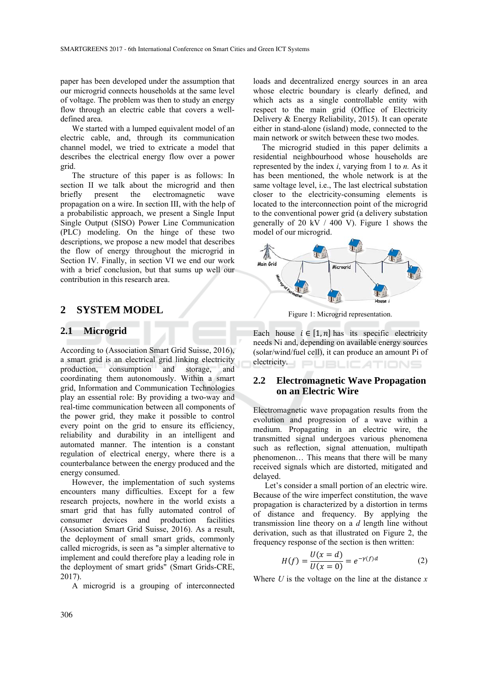paper has been developed under the assumption that our microgrid connects households at the same level of voltage. The problem was then to study an energy flow through an electric cable that covers a welldefined area.

We started with a lumped equivalent model of an electric cable, and, through its communication channel model, we tried to extricate a model that describes the electrical energy flow over a power grid.

The structure of this paper is as follows: In section II we talk about the microgrid and then briefly present the electromagnetic wave propagation on a wire. In section III, with the help of a probabilistic approach, we present a Single Input Single Output (SISO) Power Line Communication (PLC) modeling. On the hinge of these two descriptions, we propose a new model that describes the flow of energy throughout the microgrid in Section IV. Finally, in section VI we end our work with a brief conclusion, but that sums up well our contribution in this research area.

### **2 SYSTEM MODEL**

#### **2.1 Microgrid**

According to (Association Smart Grid Suisse, 2016), a smart grid is an electrical grid linking electricity production, consumption and storage, and coordinating them autonomously. Within a smart grid, Information and Communication Technologies play an essential role: By providing a two-way and real-time communication between all components of the power grid, they make it possible to control every point on the grid to ensure its efficiency, reliability and durability in an intelligent and automated manner. The intention is a constant regulation of electrical energy, where there is a counterbalance between the energy produced and the energy consumed.

However, the implementation of such systems encounters many difficulties. Except for a few research projects, nowhere in the world exists a smart grid that has fully automated control of consumer devices and production facilities (Association Smart Grid Suisse, 2016). As a result, the deployment of small smart grids, commonly called microgrids, is seen as "a simpler alternative to implement and could therefore play a leading role in the deployment of smart grids" (Smart Grids-CRE, 2017).

A microgrid is a grouping of interconnected

loads and decentralized energy sources in an area whose electric boundary is clearly defined, and which acts as a single controllable entity with respect to the main grid (Office of Electricity Delivery & Energy Reliability, 2015). It can operate either in stand-alone (island) mode, connected to the main network or switch between these two modes.

The microgrid studied in this paper delimits a residential neighbourhood whose households are represented by the index *i*, varying from 1 to *n.* As it has been mentioned, the whole network is at the same voltage level, i.e., The last electrical substation closer to the electricity-consuming elements is located to the interconnection point of the microgrid to the conventional power grid (a delivery substation generally of 20 kV  $/$  400 V). Figure 1 shows the model of our microgrid.



Figure 1: Microgrid representation.

Each house  $i \in [1, n]$  has its specific electricity needs Ni and, depending on available energy sources (solar/wind/fuel cell), it can produce an amount Pi of electricity. **JBLIC ATIONS** 

#### **2.2 Electromagnetic Wave Propagation on an Electric Wire**

Electromagnetic wave propagation results from the evolution and progression of a wave within a medium. Propagating in an electric wire, the transmitted signal undergoes various phenomena such as reflection, signal attenuation, multipath phenomenon… This means that there will be many received signals which are distorted, mitigated and delayed.

Let's consider a small portion of an electric wire. Because of the wire imperfect constitution, the wave propagation is characterized by a distortion in terms of distance and frequency. By applying the transmission line theory on a *d* length line without derivation, such as that illustrated on Figure 2, the frequency response of the section is then written:

$$
H(f) = \frac{U(x = d)}{U(x = 0)} = e^{-\gamma(f)d}
$$
 (2)

Where *U* is the voltage on the line at the distance *x*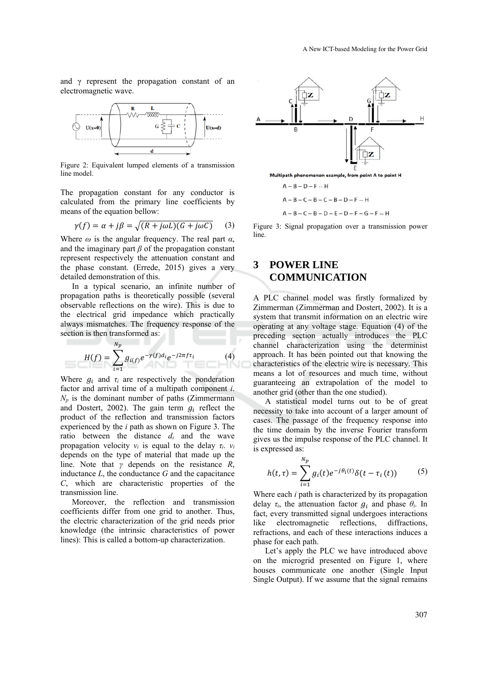and  $\gamma$  represent the propagation constant of an electromagnetic wave.



Figure 2: Equivalent lumped elements of a transmission line model.

The propagation constant for any conductor is calculated from the primary line coefficients by means of the equation bellow:

$$
\gamma(f) = \alpha + j\beta = \sqrt{(R + j\omega L)(G + j\omega C)} \tag{3}
$$

Where  $\omega$  is the angular frequency. The real part  $\alpha$ , and the imaginary part *β* of the propagation constant represent respectively the attenuation constant and the phase constant. (Errede, 2015) gives a very detailed demonstration of this.

In a typical scenario, an infinite number of propagation paths is theoretically possible (several observable reflections on the wire). This is due to the electrical grid impedance which practically always mismatches. The frequency response of the section is then transformed as:

பிருந்த

$$
H(f) = \sum_{i=1}^{N_p} g_{i(f)} e^{-\gamma(f) d_i} e^{-j2\pi f \tau_i}
$$
 (4)

Where  $g_i$  and  $\tau_i$  are respectively the ponderation factor and arrival time of a multipath component *i*.  $N_p$  is the dominant number of paths (Zimmermann and Dostert, 2002). The gain term  $g_i$  reflect the product of the reflection and transmission factors experienced by the *i* path as shown on Figure 3. The ratio between the distance *di* and the wave propagation velocity  $v_i$  is equal to the delay  $\tau_i$ .  $v_i$ depends on the type of material that made up the line. Note that *γ* depends on the resistance *R*, inductance *L*, the conductance *G* and the capacitance *C*, which are characteristic properties of the transmission line.

Moreover, the reflection and transmission coefficients differ from one grid to another. Thus, the electric characterization of the grid needs prior knowledge (the intrinsic characteristics of power lines): This is called a bottom-up characterization.



$$
A - B - C - B - D - E - D - F - G - F - H
$$

Figure 3: Signal propagation over a transmission power line.

## **3 POWER LINE COMMUNICATION**

ெ

A PLC channel model was firstly formalized by Zimmerman (Zimmerman and Dostert, 2002). It is a system that transmit information on an electric wire operating at any voltage stage. Equation (4) of the preceding section actually introduces the PLC channel characterization using the determinist approach. It has been pointed out that knowing the characteristics of the electric wire is necessary. This means a lot of resources and much time, without guaranteeing an extrapolation of the model to another grid (other than the one studied).

A statistical model turns out to be of great necessity to take into account of a larger amount of cases. The passage of the frequency response into the time domain by the inverse Fourier transform gives us the impulse response of the PLC channel. It is expressed as:

$$
h(t,\tau) = \sum_{i=1}^{n_p} g_i(t) e^{-j\theta_i(t)} \delta(t - \tau_i(t))
$$
 (5)

Where each *i* path is characterized by its propagation delay  $\tau_i$ , the attenuation factor  $g_i$  and phase  $\theta_i$ . In fact, every transmitted signal undergoes interactions like electromagnetic reflections, diffractions, refractions, and each of these interactions induces a phase for each path.

Let's apply the PLC we have introduced above on the microgrid presented on Figure 1, where houses communicate one another (Single Input Single Output). If we assume that the signal remains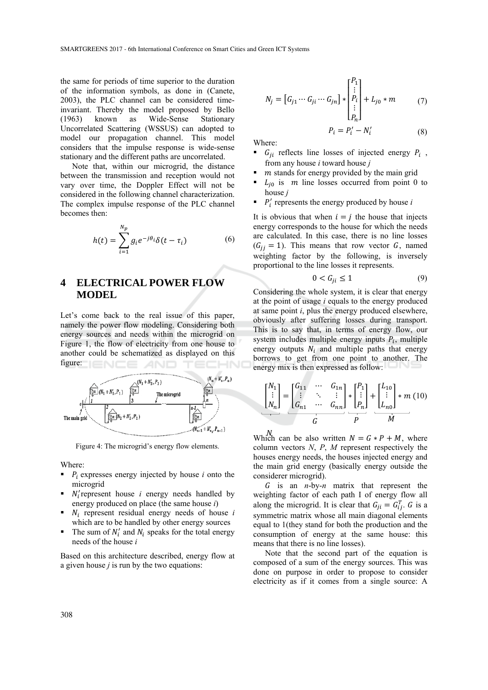the same for periods of time superior to the duration of the information symbols, as done in (Canete, 2003), the PLC channel can be considered timeinvariant. Thereby the model proposed by Bello (1963) known as Wide-Sense Stationary Uncorrelated Scattering (WSSUS) can adopted to model our propagation channel. This model considers that the impulse response is wide-sense stationary and the different paths are uncorrelated.

Note that, within our microgrid, the distance between the transmission and reception would not vary over time, the Doppler Effect will not be considered in the following channel characterization. The complex impulse response of the PLC channel becomes then:

$$
h(t) = \sum_{i=1}^{N_p} g_i e^{-j\theta_i} \delta(t - \tau_i)
$$
 (6)

## **4 ELECTRICAL POWER FLOW MODEL**

Let's come back to the real issue of this paper, namely the power flow modeling. Considering both energy sources and needs within the microgrid on Figure 1, the flow of electricity from one house to another could be schematized as displayed on this figure:



Figure 4: The microgrid's energy flow elements.

Where:

- $\blacksquare$   $\vdash$  P<sub>i</sub> expresses energy injected by house *i* onto the microgrid
- $N_i$ 'represent house *i* energy needs handled by energy produced on place (the same house *i*)
- $N_i$  represent residual energy needs of house  $i$ which are to be handled by other energy sources
- The sum of  $N'_i$  and  $N_i$  speaks for the total energy needs of the house *i*

Based on this architecture described, energy flow at a given house *j* is run by the two equations:

$$
N_{j} = [G_{j1} \cdots G_{ji} \cdots G_{jn}] * \begin{bmatrix} P_{1} \\ \vdots \\ P_{i} \\ \vdots \\ P_{n} \end{bmatrix} + L_{j0} * m \qquad (7)
$$

$$
P_{i} = P'_{i} - N'_{i} \qquad (8)
$$

Where:

- $G_{ii}$  reflects line losses of injected energy  $P_i$ , from any house *i* toward house *j*
- *stands for energy provided by the main grid*
- $L_{i0}$  is *m* line losses occurred from point 0 to house *j*
- $\blacksquare$   $P'_i$  represents the energy produced by house *i*

It is obvious that when  $i = j$  the house that injects energy corresponds to the house for which the needs are calculated. In this case, there is no line losses  $(G_{jj} = 1)$ . This means that row vector G, named weighting factor by the following, is inversely proportional to the line losses it represents.

$$
0 < G_{ji} \le 1 \tag{9}
$$

Considering the whole system, it is clear that energy at the point of usage *i* equals to the energy produced at same point *i*, plus the energy produced elsewhere, obviously after suffering losses during transport. This is to say that, in terms of energy flow, our system includes multiple energy inputs  $P_i$ , multiple energy outputs  $N_i$  and multiple paths that energy borrows to get from one point to another. The energy mix is then expressed as follow:

$$
\begin{bmatrix} N_1 \\ \vdots \\ N_n \end{bmatrix} = \begin{bmatrix} G_{11} & \cdots & G_{1n} \\ \vdots & \ddots & \vdots \\ G_{n1} & \cdots & G_{nn} \end{bmatrix} * \begin{bmatrix} P_1 \\ \vdots \\ P_n \end{bmatrix} + \begin{bmatrix} L_{10} \\ \vdots \\ L_{n0} \end{bmatrix} * m (10)
$$

Which can be also written  $N = G * P + M$ , where column vectors *N*, *P*, *M* represent respectively the houses energy needs, the houses injected energy and the main grid energy (basically energy outside the considerer microgrid).

ܩ is an *n*-by-*n* matrix that represent the weighting factor of each path I of energy flow all along the microgrid. It is clear that  $G_{ji} = G_{ij}^T$ . G is a symmetric matrix whose all main diagonal elements equal to 1(they stand for both the production and the consumption of energy at the same house: this means that there is no line losses).

Note that the second part of the equation is composed of a sum of the energy sources. This was done on purpose in order to propose to consider electricity as if it comes from a single source: A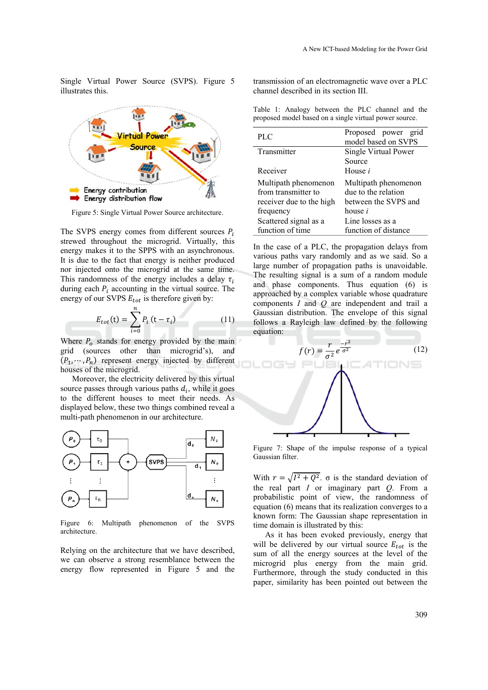Single Virtual Power Source (SVPS). Figure 5 illustrates this.



Figure 5: Single Virtual Power Source architecture.

The SVPS energy comes from different sources  $P_i$ strewed throughout the microgrid. Virtually, this energy makes it to the SPPS with an asynchronous. It is due to the fact that energy is neither produced nor injected onto the microgrid at the same time. This randomness of the energy includes a delay  $\tau_i$ during each  $P_i$  accounting in the virtual source. The energy of our SVPS  $E_{tot}$  is therefore given by:

$$
E_{tot}(\mathbf{t}) = \sum_{i=0}^{n} P_i (t - \tau_i)
$$
 (11)

Where  $P_0$  stands for energy provided by the main grid (sources other than microgrid's), and  $(P_1, \dots, P_n)$  represent energy injected by different houses of the microgrid.

Moreover, the electricity delivered by this virtual source passes through various paths  $d_i$ , while it goes to the different houses to meet their needs. As displayed below, these two things combined reveal a multi-path phenomenon in our architecture.



Figure 6: Multipath phenomenon of the SVPS architecture.

Relying on the architecture that we have described, we can observe a strong resemblance between the energy flow represented in Figure 5 and the

transmission of an electromagnetic wave over a PLC channel described in its section III.

Table 1: Analogy between the PLC channel and the proposed model based on a single virtual power source.

| P LC                     | Proposed power grid<br>model based on SVPS |
|--------------------------|--------------------------------------------|
| Transmitter              | Single Virtual Power                       |
|                          | Source                                     |
| Receiver                 | House <i>i</i>                             |
| Multipath phenomenon     | Multipath phenomenon                       |
| from transmitter to      | due to the relation                        |
| receiver due to the high | between the SVPS and                       |
| frequency                | house <i>i</i>                             |
| Scattered signal as a    | Line losses as a                           |
| function of time         | function of distance                       |

In the case of a PLC, the propagation delays from various paths vary randomly and as we said. So a large number of propagation paths is unavoidable. The resulting signal is a sum of a random module and phase components. Thus equation (6) is approached by a complex variable whose quadrature components *I* and *Q* are independent and trail a Gaussian distribution. The envelope of this signal follows a Rayleigh law defined by the following equation:



Figure 7: Shape of the impulse response of a typical Gaussian filter.

With  $r = \sqrt{I^2 + Q^2}$ .  $\sigma$  is the standard deviation of the real part *I* or imaginary part *Q*. From a probabilistic point of view, the randomness of equation (6) means that its realization converges to a known form: The Gaussian shape representation in time domain is illustrated by this:

As it has been evoked previously, energy that will be delivered by our virtual source  $E_{tot}$  is the sum of all the energy sources at the level of the microgrid plus energy from the main grid. Furthermore, through the study conducted in this paper, similarity has been pointed out between the